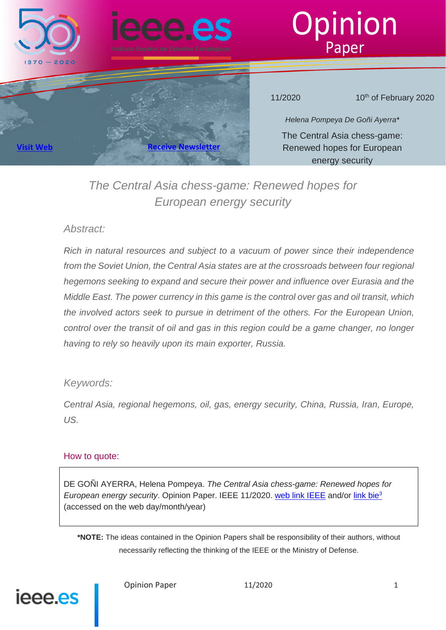

**[Visit Web](http://www.ieee.es/) [Receive Newsletter](mailto:ieee2@oc.mde.es)**





11/2020 **10<sup>th</sup> of February 2020** 

*Helena Pompeya De Goñi Ayerra\** The Central Asia chess-game: Renewed hopes for European energy security

# *The Central Asia chess-game: Renewed hopes for European energy security*

# *Abstract:*

*Rich in natural resources and subject to a vacuum of power since their independence from the Soviet Union, the Central Asia states are at the crossroads between four regional hegemons seeking to expand and secure their power and influence over Eurasia and the Middle East. The power currency in this game is the control over gas and oil transit, which the involved actors seek to pursue in detriment of the others. For the European Union, control over the transit of oil and gas in this region could be a game changer, no longer having to rely so heavily upon its main exporter, Russia.*

# *Keywords:*

*Central Asia, regional hegemons, oil, gas, energy security, China, Russia, Iran, Europe, US.*

# How to quote:

DE GOÑI AYERRA, Helena Pompeya. *The Central Asia chess-game: Renewed hopes for European energy security*. Opinion Paper. IEEE 11/2020. web link IEEE and/or link bie3 (accessed on the web day/month/year)

**\*NOTE:** The ideas contained in the Opinion Papers shall be responsibility of their authors, without necessarily reflecting the thinking of the IEEE or the Ministry of Defense.

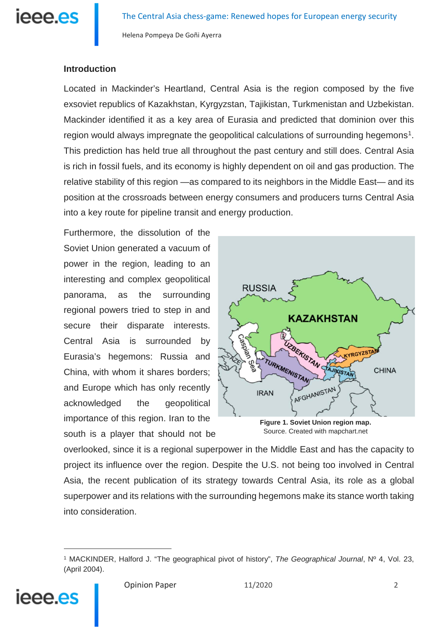

# **Introduction**

Located in Mackinder's Heartland, Central Asia is the region composed by the five exsoviet republics of Kazakhstan, Kyrgyzstan, Tajikistan, Turkmenistan and Uzbekistan. Mackinder identified it as a key area of Eurasia and predicted that dominion over this region would always impregnate the geopolitical calculations of surrounding hegemons<sup>1</sup>. This prediction has held true all throughout the past century and still does. Central Asia is rich in fossil fuels, and its economy is highly dependent on oil and gas production. The relative stability of this region —as compared to its neighbors in the Middle East— and its position at the crossroads between energy consumers and producers turns Central Asia into a key route for pipeline transit and energy production.

Furthermore, the dissolution of the Soviet Union generated a vacuum of power in the region, leading to an interesting and complex geopolitical panorama, as the surrounding regional powers tried to step in and secure their disparate interests. Central Asia is surrounded by Eurasia's hegemons: Russia and China, with whom it shares borders; and Europe which has only recently acknowledged the geopolitical importance of this region. Iran to the south is a player that should not be



Source. Created with mapchart.net

overlooked, since it is a regional superpower in the Middle East and has the capacity to project its influence over the region. Despite the U.S. not being too involved in Central Asia, the recent publication of its strategy towards Central Asia, its role as a global superpower and its relations with the surrounding hegemons make its stance worth taking into consideration.

<span id="page-1-0"></span><sup>1</sup> MACKINDER, Halford J. "The geographical pivot of history", *The Geographical Journal*, Nº 4, Vol. 23, (April 2004).



<u>.</u>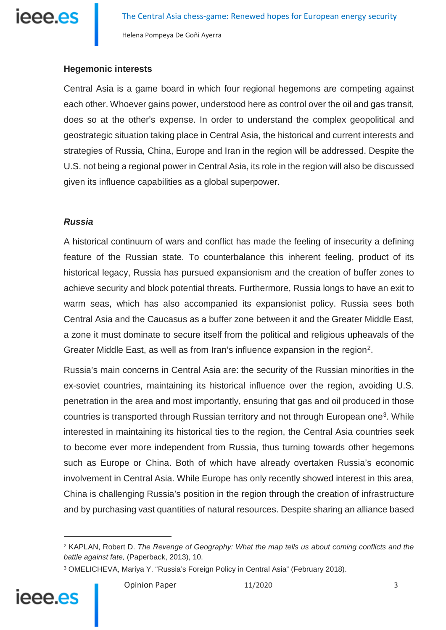

#### **Hegemonic interests**

Central Asia is a game board in which four regional hegemons are competing against each other. Whoever gains power, understood here as control over the oil and gas transit, does so at the other's expense. In order to understand the complex geopolitical and geostrategic situation taking place in Central Asia, the historical and current interests and strategies of Russia, China, Europe and Iran in the region will be addressed. Despite the U.S. not being a regional power in Central Asia, its role in the region will also be discussed given its influence capabilities as a global superpower.

#### *Russia*

A historical continuum of wars and conflict has made the feeling of insecurity a defining feature of the Russian state. To counterbalance this inherent feeling, product of its historical legacy, Russia has pursued expansionism and the creation of buffer zones to achieve security and block potential threats. Furthermore, Russia longs to have an exit to warm seas, which has also accompanied its expansionist policy. Russia sees both Central Asia and the Caucasus as a buffer zone between it and the Greater Middle East, a zone it must dominate to secure itself from the political and religious upheavals of the Greater Middle East, as well as from Iran's influence expansion in the region<sup>[2](#page-2-0)</sup>.

Russia's main concerns in Central Asia are: the security of the Russian minorities in the ex-soviet countries, maintaining its historical influence over the region, avoiding U.S. penetration in the area and most importantly, ensuring that gas and oil produced in those countries is transported through Russian territory and not through European one<sup>[3](#page-2-1)</sup>. While interested in maintaining its historical ties to the region, the Central Asia countries seek to become ever more independent from Russia, thus turning towards other hegemons such as Europe or China. Both of which have already overtaken Russia's economic involvement in Central Asia. While Europe has only recently showed interest in this area, China is challenging Russia's position in the region through the creation of infrastructure and by purchasing vast quantities of natural resources. Despite sharing an alliance based

<span id="page-2-1"></span><span id="page-2-0"></span><sup>3</sup> OMELICHEVA, Mariya Y. "Russia's Foreign Policy in Central Asia" (February 2018).



<sup>2</sup> KAPLAN, Robert D. *The Revenge of Geography: What the map tells us about coming conflicts and the battle against fate,* (Paperback, 2013), 10.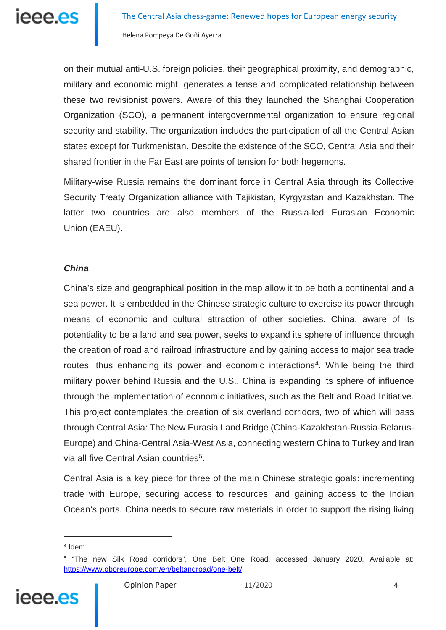on their mutual anti-U.S. foreign policies, their geographical proximity, and demographic, military and economic might, generates a tense and complicated relationship between these two revisionist powers. Aware of this they launched the Shanghai Cooperation Organization (SCO), a permanent intergovernmental organization to ensure regional security and stability. The organization includes the participation of all the Central Asian states except for Turkmenistan. Despite the existence of the SCO, Central Asia and their shared frontier in the Far East are points of tension for both hegemons.

Military-wise Russia remains the dominant force in Central Asia through its Collective Security Treaty Organization alliance with Tajikistan, Kyrgyzstan and Kazakhstan. The latter two countries are also members of the Russia-led Eurasian Economic Union (EAEU).

#### *China*

China's size and geographical position in the map allow it to be both a continental and a sea power. It is embedded in the Chinese strategic culture to exercise its power through means of economic and cultural attraction of other societies. China, aware of its potentiality to be a land and sea power, seeks to expand its sphere of influence through the creation of road and railroad infrastructure and by gaining access to major sea trade routes, thus enhancing its power and economic interactions<sup>[4](#page-3-0)</sup>. While being the third military power behind Russia and the U.S., China is expanding its sphere of influence through the implementation of economic initiatives, such as the Belt and Road Initiative. This project contemplates the creation of six overland corridors, two of which will pass through Central Asia: The New Eurasia Land Bridge (China-Kazakhstan-Russia-Belarus-Europe) and China-Central Asia-West Asia, connecting western China to Turkey and Iran via all five Central Asian countries<sup>[5](#page-3-1)</sup>.

Central Asia is a key piece for three of the main Chinese strategic goals: incrementing trade with Europe, securing access to resources, and gaining access to the Indian Ocean's ports. China needs to secure raw materials in order to support the rising living

<span id="page-3-1"></span><span id="page-3-0"></span><sup>5</sup> "The new Silk Road corridors", One Belt One Road, accessed January 2020. Available at: <https://www.oboreurope.com/en/beltandroad/one-belt/>



<sup>&</sup>lt;sup>4</sup> Idem.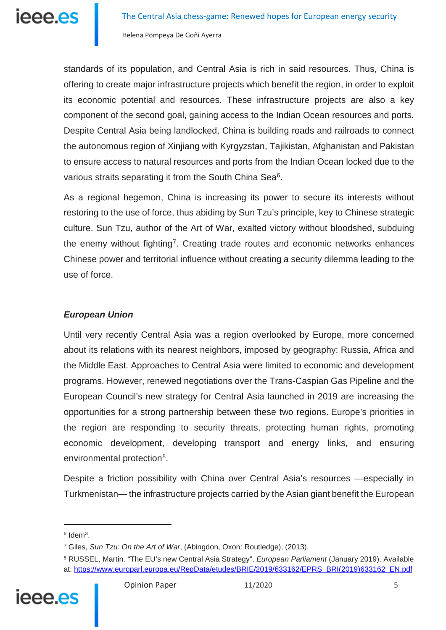standards of its population, and Central Asia is rich in said resources. Thus, China is offering to create major infrastructure projects which benefit the region, in order to exploit its economic potential and resources. These infrastructure projects are also a key component of the second goal, gaining access to the Indian Ocean resources and ports. Despite Central Asia being landlocked, China is building roads and railroads to connect the autonomous region of Xinjiang with Kyrgyzstan, Tajikistan, Afghanistan and Pakistan to ensure access to natural resources and ports from the Indian Ocean locked due to the various straits separating it from the South China Sea<sup>[6](#page-4-0)</sup>.

As a regional hegemon, China is increasing its power to secure its interests without restoring to the use of force, thus abiding by Sun Tzu's principle, key to Chinese strategic culture. Sun Tzu, author of the Art of War, exalted victory without bloodshed, subduing the enemy without fighting<sup>[7](#page-4-1)</sup>. Creating trade routes and economic networks enhances Chinese power and territorial influence without creating a security dilemma leading to the use of force.

## *European Union*

Until very recently Central Asia was a region overlooked by Europe, more concerned about its relations with its nearest neighbors, imposed by geography: Russia, Africa and the Middle East. Approaches to Central Asia were limited to economic and development programs. However, renewed negotiations over the Trans-Caspian Gas Pipeline and the European Council's new strategy for Central Asia launched in 2019 are increasing the opportunities for a strong partnership between these two regions. Europe's priorities in the region are responding to security threats, protecting human rights, promoting economic development, developing transport and energy links, and ensuring environmental protection<sup>[8](#page-4-2)</sup>.

Despite a friction possibility with China over Central Asia's resources —especially in Turkmenistan— the infrastructure projects carried by the Asian giant benefit the European

<span id="page-4-2"></span><span id="page-4-1"></span><span id="page-4-0"></span><sup>8</sup> RUSSEL, Martin. "The EU's new Central Asia Strategy", *European Parliament* (January 2019). Available at: [https://www.europarl.europa.eu/RegData/etudes/BRIE/2019/633162/EPRS\\_BRI\(2019\)633162\\_EN.pdf](https://www.europarl.europa.eu/RegData/etudes/BRIE/2019/633162/EPRS_BRI(2019)633162_EN.pdf)



 $6$  Idem<sup>3</sup>.

<sup>7</sup> Giles, *Sun Tzu: On the Art of War*, (Abingdon, Oxon: Routledge), (2013).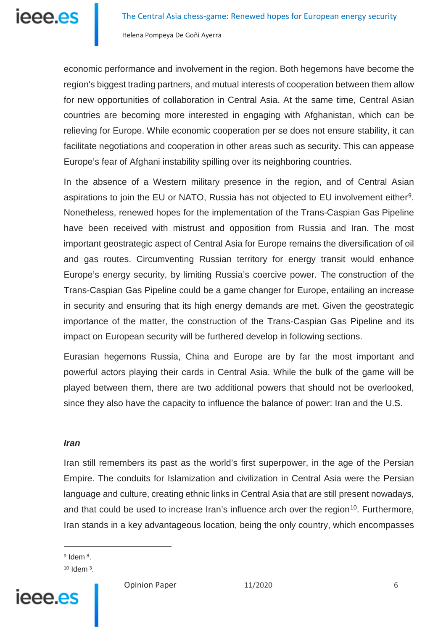economic performance and involvement in the region. Both hegemons have become the region's biggest trading partners, and mutual interests of cooperation between them allow for new opportunities of collaboration in Central Asia. At the same time, Central Asian countries are becoming more interested in engaging with Afghanistan, which can be relieving for Europe. While economic cooperation per se does not ensure stability, it can facilitate negotiations and cooperation in other areas such as security. This can appease Europe's fear of Afghani instability spilling over its neighboring countries.

In the absence of a Western military presence in the region, and of Central Asian aspirations to join the EU or NATO, Russia has not objected to EU involvement either[9.](#page-5-0) Nonetheless, renewed hopes for the implementation of the Trans-Caspian Gas Pipeline have been received with mistrust and opposition from Russia and Iran. The most important geostrategic aspect of Central Asia for Europe remains the diversification of oil and gas routes. Circumventing Russian territory for energy transit would enhance Europe's energy security, by limiting Russia's coercive power. The construction of the Trans-Caspian Gas Pipeline could be a game changer for Europe, entailing an increase in security and ensuring that its high energy demands are met. Given the geostrategic importance of the matter, the construction of the Trans-Caspian Gas Pipeline and its impact on European security will be furthered develop in following sections.

Eurasian hegemons Russia, China and Europe are by far the most important and powerful actors playing their cards in Central Asia. While the bulk of the game will be played between them, there are two additional powers that should not be overlooked, since they also have the capacity to influence the balance of power: Iran and the U.S.

#### *Iran*

Iran still remembers its past as the world's first superpower, in the age of the Persian Empire. The conduits for Islamization and civilization in Central Asia were the Persian language and culture, creating ethnic links in Central Asia that are still present nowadays, and that could be used to increase Iran's influence arch over the region<sup>10</sup>. Furthermore, Iran stands in a key advantageous location, being the only country, which encompasses

<sup>9</sup> Idem<sup>8</sup>.

<u>.</u>

<span id="page-5-1"></span><span id="page-5-0"></span> $10$  Idem  $3$ .



Opinion Paper 11/2020 6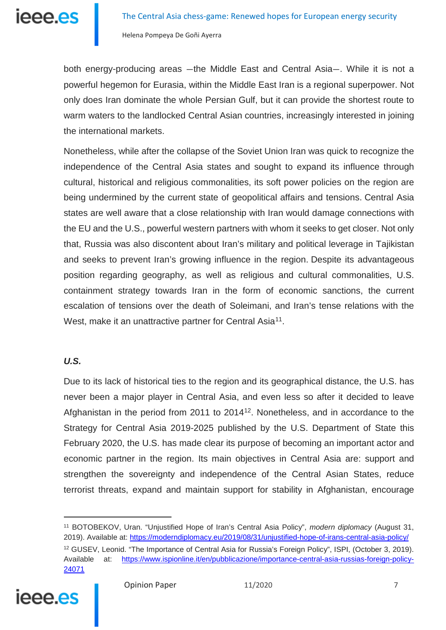both energy-producing areas —the Middle East and Central Asia—. While it is not a powerful hegemon for Eurasia, within the Middle East Iran is a regional superpower. Not only does Iran dominate the whole Persian Gulf, but it can provide the shortest route to warm waters to the landlocked Central Asian countries, increasingly interested in joining the international markets.

Nonetheless, while after the collapse of the Soviet Union Iran was quick to recognize the independence of the Central Asia states and sought to expand its influence through cultural, historical and religious commonalities, its soft power policies on the region are being undermined by the current state of geopolitical affairs and tensions. Central Asia states are well aware that a close relationship with Iran would damage connections with the EU and the U.S., powerful western partners with whom it seeks to get closer. Not only that, Russia was also discontent about Iran's military and political leverage in Tajikistan and seeks to prevent Iran's growing influence in the region. Despite its advantageous position regarding geography, as well as religious and cultural commonalities, U.S. containment strategy towards Iran in the form of economic sanctions, the current escalation of tensions over the death of Soleimani, and Iran's tense relations with the West, make it an unattractive partner for Central Asia<sup>11</sup>.

## *U.S.*

Due to its lack of historical ties to the region and its geographical distance, the U.S. has never been a major player in Central Asia, and even less so after it decided to leave Afghanistan in the period from 2011 to  $2014^{12}$  $2014^{12}$  $2014^{12}$ . Nonetheless, and in accordance to the Strategy for Central Asia 2019-2025 published by the U.S. Department of State this February 2020, the U.S. has made clear its purpose of becoming an important actor and economic partner in the region. Its main objectives in Central Asia are: support and strengthen the sovereignty and independence of the Central Asian States, reduce terrorist threats, expand and maintain support for stability in Afghanistan, encourage

<span id="page-6-1"></span><span id="page-6-0"></span><sup>11</sup> BOTOBEKOV, Uran. "Unjustified Hope of Iran's Central Asia Policy", *modern diplomacy* (August 31, 2019). Available at: <https://moderndiplomacy.eu/2019/08/31/unjustified-hope-of-irans-central-asia-policy/> <sup>12</sup> GUSEV, Leonid. "The Importance of Central Asia for Russia's Foreign Policy", ISPI, (October 3, 2019). Available at: [https://www.ispionline.it/en/pubblicazione/importance-central-asia-russias-foreign-policy-](https://www.ispionline.it/en/pubblicazione/importance-central-asia-russias-foreign-policy-24071)[24071](https://www.ispionline.it/en/pubblicazione/importance-central-asia-russias-foreign-policy-24071)

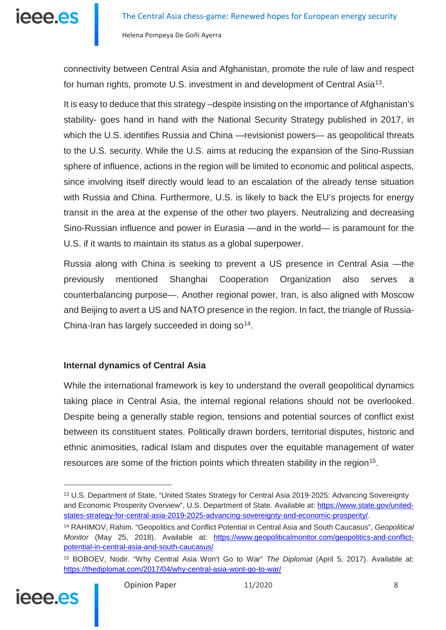

connectivity between Central Asia and Afghanistan, promote the rule of law and respect for human rights, promote U.S. investment in and development of Central Asia<sup>[13](#page-7-0)</sup>.

It is easy to deduce that this strategy –despite insisting on the importance of Afghanistan's stability- goes hand in hand with the National Security Strategy published in 2017, in which the U.S. identifies Russia and China —revisionist powers— as geopolitical threats to the U.S. security. While the U.S. aims at reducing the expansion of the Sino-Russian sphere of influence, actions in the region will be limited to economic and political aspects, since involving itself directly would lead to an escalation of the already tense situation with Russia and China. Furthermore, U.S. is likely to back the EU's projects for energy transit in the area at the expense of the other two players. Neutralizing and decreasing Sino-Russian influence and power in Eurasia —and in the world— is paramount for the U.S. if it wants to maintain its status as a global superpower.

Russia along with China is seeking to prevent a US presence in Central Asia —the previously mentioned Shanghai Cooperation Organization also serves a counterbalancing purpose—. Another regional power, Iran, is also aligned with Moscow and Beijing to avert a US and NATO presence in the region. In fact, the triangle of Russia-China-Iran has largely succeeded in doing  $\mathsf{so}^{\mathsf{14}}$ .

## **Internal dynamics of Central Asia**

While the international framework is key to understand the overall geopolitical dynamics taking place in Central Asia, the internal regional relations should not be overlooked. Despite being a generally stable region, tensions and potential sources of conflict exist between its constituent states. Politically drawn borders, territorial disputes, historic and ethnic animosities, radical Islam and disputes over the equitable management of water resources are some of the friction points which threaten stability in the region<sup>[15](#page-7-2)</sup>.

<span id="page-7-2"></span><span id="page-7-1"></span><sup>15</sup> BOBOEV, Nodir. "Why Central Asia Won't Go to War" *The Diplomat* (April 5, 2017). Available at: <https://thediplomat.com/2017/04/why-central-asia-wont-go-to-war/>



<span id="page-7-0"></span><sup>&</sup>lt;sup>13</sup> U.S. Department of State, "United States Strategy for Central Asia 2019-2025: Advancing Sovereignty and Economic Prosperity Overview", U.S. Department of State. Available at: [https://www.state.gov/united](https://www.state.gov/united-states-strategy-for-central-asia-2019-2025-advancing-sovereignty-and-economic-prosperity/)[states-strategy-for-central-asia-2019-2025-advancing-sovereignty-and-economic-prosperity/.](https://www.state.gov/united-states-strategy-for-central-asia-2019-2025-advancing-sovereignty-and-economic-prosperity/)

<sup>14</sup> RAHIMOV, Rahim. "Geopolitics and Conflict Potential in Central Asia and South Caucasus", *Geopolitical Monitor* (May 25, 2018). Available at: [https://www.geopoliticalmonitor.com/geopolitics-and-conflict](https://www.geopoliticalmonitor.com/geopolitics-and-conflict-potential-in-central-asia-and-south-caucasus/)[potential-in-central-asia-and-south-caucasus/](https://www.geopoliticalmonitor.com/geopolitics-and-conflict-potential-in-central-asia-and-south-caucasus/)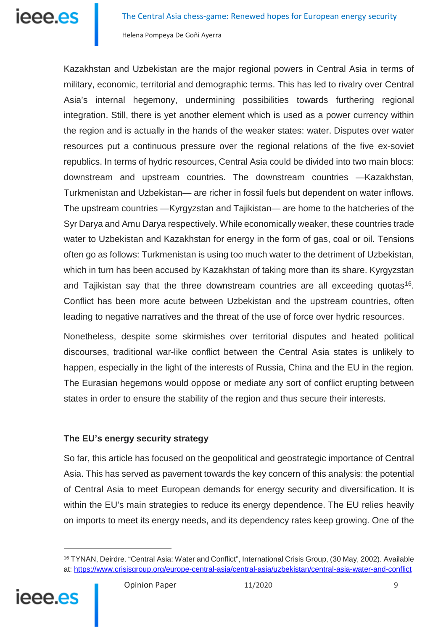

Kazakhstan and Uzbekistan are the major regional powers in Central Asia in terms of military, economic, territorial and demographic terms. This has led to rivalry over Central Asia's internal hegemony, undermining possibilities towards furthering regional integration. Still, there is yet another element which is used as a power currency within the region and is actually in the hands of the weaker states: water. Disputes over water resources put a continuous pressure over the regional relations of the five ex-soviet republics. In terms of hydric resources, Central Asia could be divided into two main blocs: downstream and upstream countries. The downstream countries —Kazakhstan, Turkmenistan and Uzbekistan— are richer in fossil fuels but dependent on water inflows. The upstream countries —Kyrgyzstan and Tajikistan— are home to the hatcheries of the Syr Darya and Amu Darya respectively. While economically weaker, these countries trade water to Uzbekistan and Kazakhstan for energy in the form of gas, coal or oil. Tensions often go as follows: Turkmenistan is using too much water to the detriment of Uzbekistan, which in turn has been accused by Kazakhstan of taking more than its share. Kyrgyzstan and Tajikistan say that the three downstream countries are all exceeding quotas<sup>16</sup>. Conflict has been more acute between Uzbekistan and the upstream countries, often leading to negative narratives and the threat of the use of force over hydric resources.

Nonetheless, despite some skirmishes over territorial disputes and heated political discourses, traditional war-like conflict between the Central Asia states is unlikely to happen, especially in the light of the interests of Russia, China and the EU in the region. The Eurasian hegemons would oppose or mediate any sort of conflict erupting between states in order to ensure the stability of the region and thus secure their interests.

## **The EU's energy security strategy**

So far, this article has focused on the geopolitical and geostrategic importance of Central Asia. This has served as pavement towards the key concern of this analysis: the potential of Central Asia to meet European demands for energy security and diversification. It is within the EU's main strategies to reduce its energy dependence. The EU relies heavily on imports to meet its energy needs, and its dependency rates keep growing. One of the

<span id="page-8-0"></span><sup>&</sup>lt;sup>16</sup> TYNAN, Deirdre. "Central Asia: Water and Conflict", International Crisis Group, (30 May, 2002). Available at: <https://www.crisisgroup.org/europe-central-asia/central-asia/uzbekistan/central-asia-water-and-conflict>



<u>.</u>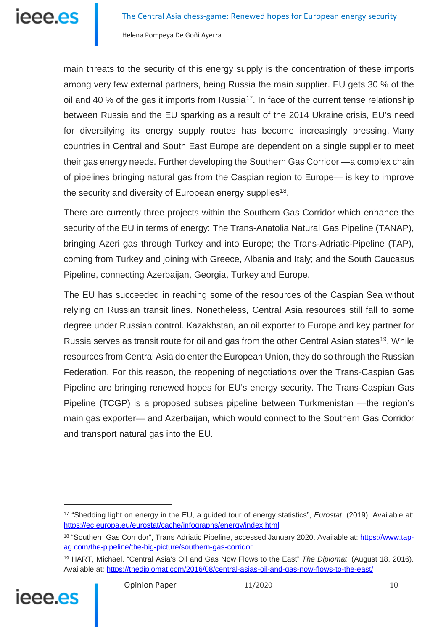main threats to the security of this energy supply is the concentration of these imports among very few external partners, being Russia the main supplier. EU gets 30 % of the oil and 40 % of the gas it imports from Russia<sup>17</sup>. In face of the current tense relationship between Russia and the EU sparking as a result of the 2014 Ukraine crisis, EU's need for diversifying its energy supply routes has become increasingly pressing. Many countries in Central and South East Europe are dependent on a single supplier to meet their gas energy needs. Further developing the Southern Gas Corridor —a complex chain of pipelines bringing natural gas from the Caspian region to Europe— is key to improve the security and diversity of European energy supplies<sup>18</sup>.

There are currently three projects within the Southern Gas Corridor which enhance the security of the EU in terms of energy: The Trans-Anatolia Natural Gas Pipeline (TANAP), bringing Azeri gas through Turkey and into Europe; the Trans-Adriatic-Pipeline (TAP), coming from Turkey and joining with Greece, Albania and Italy; and the South Caucasus Pipeline, connecting Azerbaijan, Georgia, Turkey and Europe.

The EU has succeeded in reaching some of the resources of the Caspian Sea without relying on Russian transit lines. Nonetheless, Central Asia resources still fall to some degree under Russian control. Kazakhstan, an oil exporter to Europe and key partner for Russia serves as transit route for oil and gas from the other Central Asian states<sup>19</sup>. While resources from Central Asia do enter the European Union, they do so through the Russian Federation. For this reason, the reopening of negotiations over the Trans-Caspian Gas Pipeline are bringing renewed hopes for EU's energy security. The Trans-Caspian Gas Pipeline (TCGP) is a proposed subsea pipeline between Turkmenistan —the region's main gas exporter— and Azerbaijan, which would connect to the Southern Gas Corridor and transport natural gas into the EU.

<span id="page-9-2"></span><span id="page-9-1"></span><span id="page-9-0"></span><sup>19</sup> HART, Michael. "Central Asia's Oil and Gas Now Flows to the East" *The Diplomat*, (August 18, 2016). Available at: <https://thediplomat.com/2016/08/central-asias-oil-and-gas-now-flows-to-the-east/>



<sup>17</sup> "Shedding light on energy in the EU, a guided tour of energy statistics", *Eurostat*, (2019). Available at: <https://ec.europa.eu/eurostat/cache/infographs/energy/index.html>

<sup>&</sup>lt;sup>18</sup> "Southern Gas Corridor", Trans Adriatic Pipeline, accessed January 2020. Available at: [https://www.tap](https://www.tap-ag.com/the-pipeline/the-big-picture/southern-gas-corridor)[ag.com/the-pipeline/the-big-picture/southern-gas-corridor](https://www.tap-ag.com/the-pipeline/the-big-picture/southern-gas-corridor)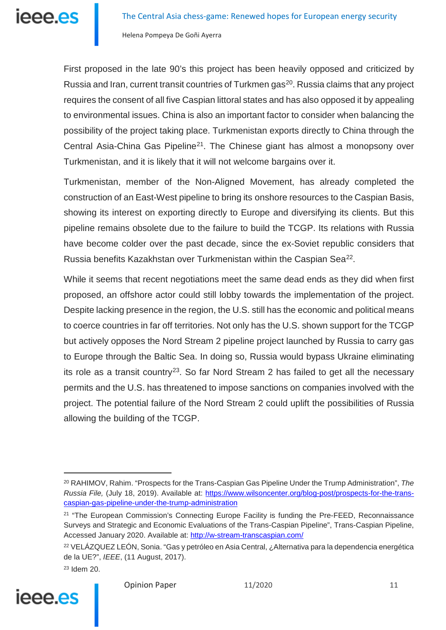First proposed in the late 90's this project has been heavily opposed and criticized by Russia and Iran, current transit countries of Turkmen gas<sup>20</sup>. Russia claims that any project requires the consent of all five Caspian littoral states and has also opposed it by appealing to environmental issues. China is also an important factor to consider when balancing the possibility of the project taking place. Turkmenistan exports directly to China through the Central Asia-China Gas Pipeline<sup>21</sup>. The Chinese giant has almost a monopsony over Turkmenistan, and it is likely that it will not welcome bargains over it.

Turkmenistan, member of the Non-Aligned Movement, has already completed the construction of an East-West pipeline to bring its onshore resources to the Caspian Basis, showing its interest on exporting directly to Europe and diversifying its clients. But this pipeline remains obsolete due to the failure to build the TCGP. Its relations with Russia have become colder over the past decade, since the ex-Soviet republic considers that Russia benefits Kazakhstan over Turkmenistan within the Caspian Sea<sup>[22](#page-10-2)</sup>.

While it seems that recent negotiations meet the same dead ends as they did when first proposed, an offshore actor could still lobby towards the implementation of the project. Despite lacking presence in the region, the U.S. still has the economic and political means to coerce countries in far off territories. Not only has the U.S. shown support for the TCGP but actively opposes the Nord Stream 2 pipeline project launched by Russia to carry gas to Europe through the Baltic Sea. In doing so, Russia would bypass Ukraine eliminating its role as a transit country<sup>23</sup>. So far Nord Stream 2 has failed to get all the necessary permits and the U.S. has threatened to impose sanctions on companies involved with the project. The potential failure of the Nord Stream 2 could uplift the possibilities of Russia allowing the building of the TCGP.

<span id="page-10-3"></span><span id="page-10-2"></span>

<span id="page-10-0"></span><sup>20</sup> RAHIMOV, Rahim. "Prospects for the Trans-Caspian Gas Pipeline Under the Trump Administration", *The Russia File,* (July 18, 2019). Available at: [https://www.wilsoncenter.org/blog-post/prospects-for-the-trans](https://www.wilsoncenter.org/blog-post/prospects-for-the-trans-caspian-gas-pipeline-under-the-trump-administration)[caspian-gas-pipeline-under-the-trump-administration](https://www.wilsoncenter.org/blog-post/prospects-for-the-trans-caspian-gas-pipeline-under-the-trump-administration)

<span id="page-10-1"></span><sup>&</sup>lt;sup>21</sup> "The European Commission's Connecting Europe Facility is funding the Pre-FEED, Reconnaissance Surveys and Strategic and Economic Evaluations of the Trans-Caspian Pipeline", Trans-Caspian Pipeline, Accessed January 2020. Available at: <http://w-stream-transcaspian.com/>

<sup>22</sup> VELÁZQUEZ LEÓN, Sonia. "Gas y petróleo en Asia Central, ¿Alternativa para la dependencia energética de la UE?", *IEEE*, (11 August, 2017).

<sup>23</sup> Idem 20.